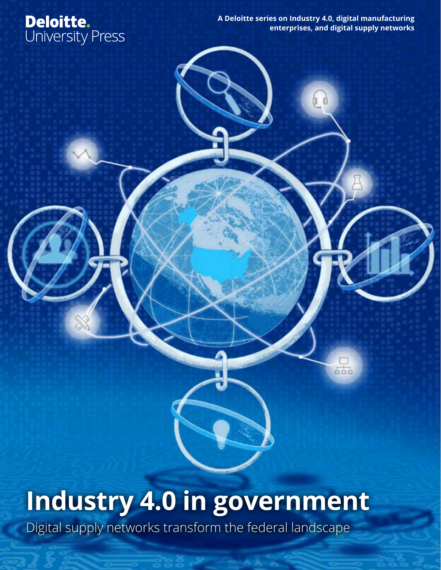# **Deloitte.**<br>University Press

**A Deloitte series on Industry 4.0, digital manufacturing enterprises, and digital supply networks**

66

 $500$ 

# **Industry 4.0 in government**

Digital supply networks transform the federal landscape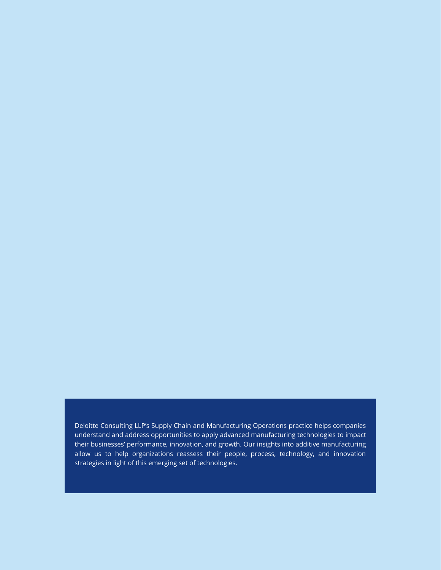Deloitte Consulting LLP's Supply Chain and Manufacturing Operations practice helps companies understand and address opportunities to apply advanced manufacturing technologies to impact their businesses' performance, innovation, and growth. Our insights into additive manufacturing allow us to help organizations reassess their people, process, technology, and innovation strategies in light of this emerging set of technologies.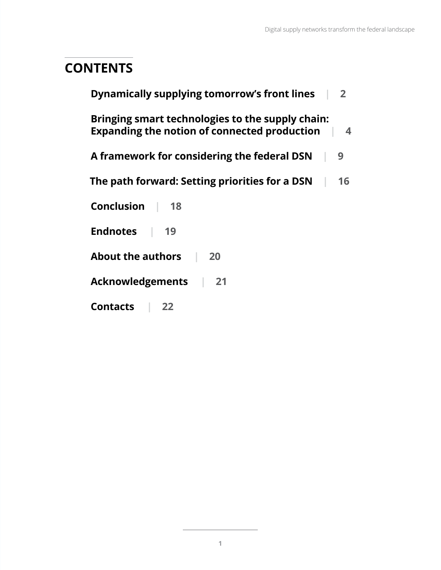## **CONTENTS**

| <b>Dynamically supplying tomorrow's front lines</b>                                                           | $\mathbf{2}$ |  |  |  |
|---------------------------------------------------------------------------------------------------------------|--------------|--|--|--|
| Bringing smart technologies to the supply chain:<br><b>Expanding the notion of connected production</b><br>-4 |              |  |  |  |
| A framework for considering the federal DSN<br>9                                                              |              |  |  |  |
| The path forward: Setting priorities for a DSN                                                                | 16           |  |  |  |
| Conclusion   18                                                                                               |              |  |  |  |
| <b>Endnotes</b><br>∣ 19                                                                                       |              |  |  |  |
| <b>About the authors</b><br><b>20</b>                                                                         |              |  |  |  |
| Acknowledgements<br>$\overline{\phantom{0}}$ 21                                                               |              |  |  |  |
| <b>Contacts</b><br>22                                                                                         |              |  |  |  |

 $\overline{\phantom{a}}$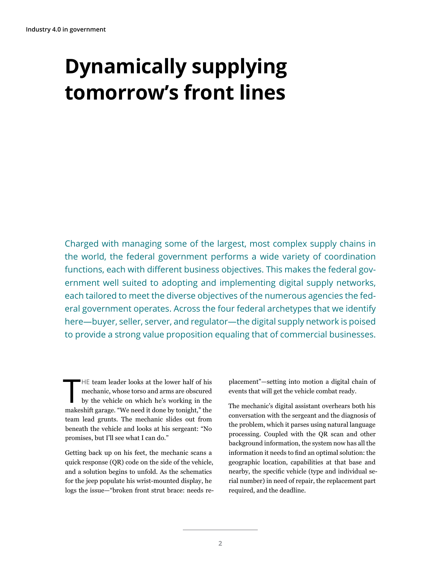## <span id="page-3-0"></span>**Dynamically supplying tomorrow's front lines**

Charged with managing some of the largest, most complex supply chains in the world, the federal government performs a wide variety of coordination functions, each with different business objectives. This makes the federal government well suited to adopting and implementing digital supply networks, each tailored to meet the diverse objectives of the numerous agencies the federal government operates. Across the four federal archetypes that we identify here—buyer, seller, server, and regulator—the digital supply network is poised to provide a strong value proposition equaling that of commercial businesses.

 $\prod_{\text{mels}}$ HE team leader looks at the lower half of his mechanic, whose torso and arms are obscured by the vehicle on which he's working in the makeshift garage. "We need it done by tonight," the team lead grunts. The mechanic slides out from beneath the vehicle and looks at his sergeant: "No promises, but I'll see what I can do."

Getting back up on his feet, the mechanic scans a quick response (QR) code on the side of the vehicle, and a solution begins to unfold. As the schematics for the jeep populate his wrist-mounted display, he logs the issue—"broken front strut brace: needs replacement"—setting into motion a digital chain of events that will get the vehicle combat ready.

The mechanic's digital assistant overhears both his conversation with the sergeant and the diagnosis of the problem, which it parses using natural language processing. Coupled with the QR scan and other background information, the system now has all the information it needs to find an optimal solution: the geographic location, capabilities at that base and nearby, the specific vehicle (type and individual serial number) in need of repair, the replacement part required, and the deadline.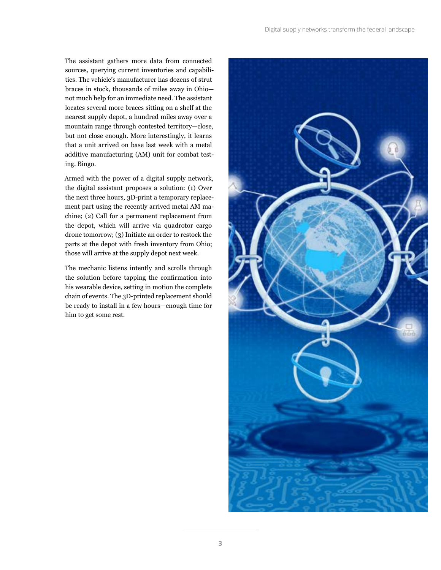The assistant gathers more data from connected sources, querying current inventories and capabilities. The vehicle's manufacturer has dozens of strut braces in stock, thousands of miles away in Ohio not much help for an immediate need. The assistant locates several more braces sitting on a shelf at the nearest supply depot, a hundred miles away over a mountain range through contested territory—close, but not close enough. More interestingly, it learns that a unit arrived on base last week with a metal additive manufacturing (AM) unit for combat testing. Bingo.

Armed with the power of a digital supply network, the digital assistant proposes a solution: (1) Over the next three hours, 3D-print a temporary replacement part using the recently arrived metal AM machine; (2) Call for a permanent replacement from the depot, which will arrive via quadrotor cargo drone tomorrow; (3) Initiate an order to restock the parts at the depot with fresh inventory from Ohio; those will arrive at the supply depot next week.

The mechanic listens intently and scrolls through the solution before tapping the confirmation into his wearable device, setting in motion the complete chain of events. The 3D-printed replacement should be ready to install in a few hours—enough time for him to get some rest.

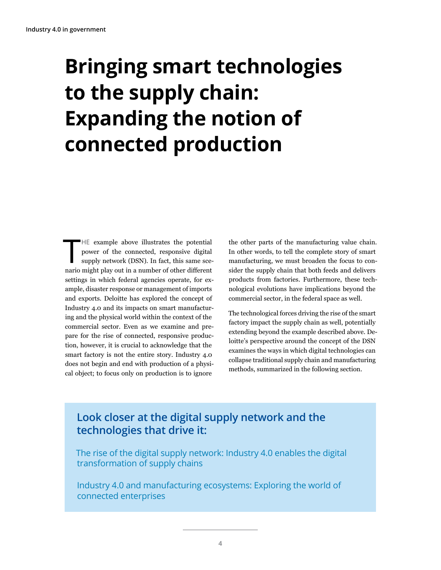## <span id="page-5-0"></span>**Bringing smart technologies to the supply chain: Expanding the notion of connected production**

 $\prod$ HE example above illustrates the potential power of the connected, responsive digital supply network (DSN). In fact, this same scenario might play out in a number of other different settings in which federal agencies operate, for example, disaster response or management of imports and exports. Deloitte has explored the concept of Industry 4.0 and its impacts on smart manufacturing and the physical world within the context of the commercial sector. Even as we examine and prepare for the rise of connected, responsive production, however, it is crucial to acknowledge that the smart factory is not the entire story. Industry 4.0 does not begin and end with production of a physical object; to focus only on production is to ignore

the other parts of the manufacturing value chain. In other words, to tell the complete story of smart manufacturing, we must broaden the focus to consider the supply chain that both feeds and delivers products from factories. Furthermore, these technological evolutions have implications beyond the commercial sector, in the federal space as well.

The technological forces driving the rise of the smart factory impact the supply chain as well, potentially extending beyond the example described above. Deloitte's perspective around the concept of the DSN examines the ways in which digital technologies can collapse traditional supply chain and manufacturing methods, summarized in the following section.

### **Look closer at the digital supply network and the technologies that drive it:**

[The rise of the digital supply network: Industry 4.0 enables the digital](https://dupress.deloitte.com/dup-us-en/focus/industry-4-0/digital-transformation-in-supply-chain.html)  transformation of supply chains

[Industry 4.0 and manufacturing ecosystems: Exploring the world of](https://dupress.deloitte.com/dup-us-en/focus/industry-4-0/manufacturing-ecosystems-exploring-world-connected-enterprises.html)  connected enterprises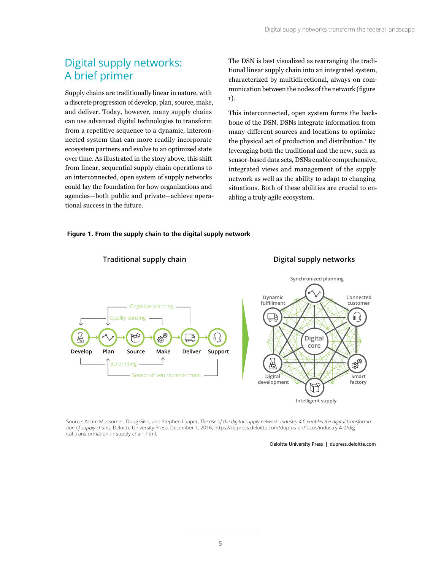### Digital supply networks: A brief primer

Supply chains are traditionally linear in nature, with a discrete progression of develop, plan, source, make, and deliver. Today, however, many supply chains can use advanced digital technologies to transform from a repetitive sequence to a dynamic, interconnected system that can more readily incorporate ecosystem partners and evolve to an optimized state over time. As illustrated in the story above, this shift from linear, sequential supply chain operations to an interconnected, open system of supply networks could lay the foundation for how organizations and agencies—both public and private—achieve operational success in the future.

The DSN is best visualized as rearranging the traditional linear supply chain into an integrated system, characterized by multidirectional, always-on communication between the nodes of the network (figure 1).

This interconnected, open system forms the backbone of the DSN. DSNs integrate information from many different sources and locations to optimize the physical act of production and distribution.<sup>1</sup> By leveraging both the traditional and the new, such as sensor-based data sets, DSNs enable comprehensive, integrated views and management of the supply network as well as the ability to adapt to changing situations. Both of these abilities are crucial to enabling a truly agile ecosystem.

### **Figure 1. From the supply chain to the digital supply network**



**Traditional supply chain Digital supply networks**

Source: Adam Mussomeli, Doug Gish, and Stephen Laaper, *The rise of the digital supply network: Industry 4.0 enables the digital transformation of supply chains*, Deloitte University Press, December 1, 2016, https://dupress.deloitte.com/dup-us-en/focus/industry-4-0/digital-transformation-in-supply-chain.html.

#### Deloitte University Press | dupress.deloitte.com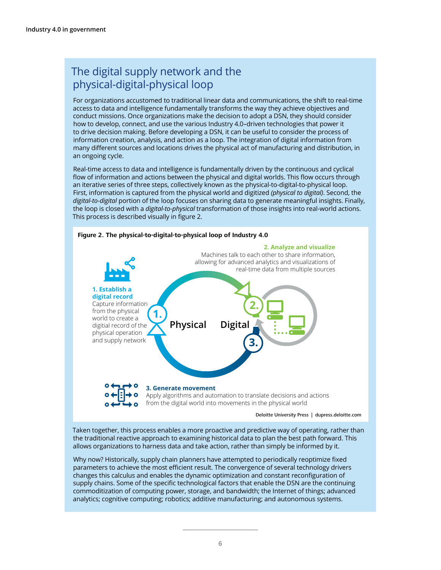### The digital supply network and the physical-digital-physical loop

For organizations accustomed to traditional linear data and communications, the shift to real-time access to data and intelligence fundamentally transforms the way they achieve objectives and conduct missions. Once organizations make the decision to adopt a DSN, they should consider how to develop, connect, and use the various Industry 4.0–driven technologies that power it to drive decision making. Before developing a DSN, it can be useful to consider the process of information creation, analysis, and action as a loop. The integration of digital information from many different sources and locations drives the physical act of manufacturing and distribution, in an ongoing cycle.

Real-time access to data and intelligence is fundamentally driven by the continuous and cyclical flow of information and actions between the physical and digital worlds. This flow occurs through an iterative series of three steps, collectively known as the physical-to-digital-to-physical loop. First, information is captured from the physical world and digitized *(physical to digital)*. Second, the *digital-to-digital* portion of the loop focuses on sharing data to generate meaningful insights. Finally, the loop is closed with a *digital-to-physical* transformation of those insights into real-world actions. This process is described visually in figure 2.



Taken together, this process enables a more proactive and predictive way of operating, rather than the traditional reactive approach to examining historical data to plan the best path forward. This allows organizations to harness data and take action, rather than simply be informed by it.

Why now? Historically, supply chain planners have attempted to periodically reoptimize fixed parameters to achieve the most efficient result. The convergence of several technology drivers changes this calculus and enables the dynamic optimization and constant reconfiguration of supply chains. Some of the specific technological factors that enable the DSN are the continuing commoditization of computing power, storage, and bandwidth; the Internet of things; advanced analytics; cognitive computing; robotics; additive manufacturing; and autonomous systems.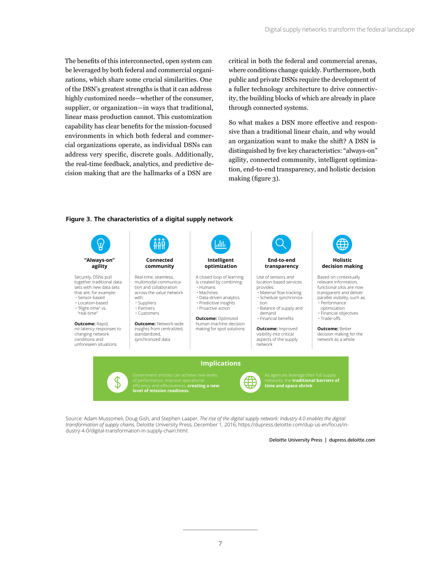<span id="page-8-0"></span>The benefits of this interconnected, open system can be leveraged by both federal and commercial organizations, which share some crucial similarities. One of the DSN's greatest strengths is that it can address highly customized needs—whether of the consumer, supplier, or organization—in ways that traditional, linear mass production cannot. This customization capability has clear benefits for the mission-focused environments in which both federal and commercial organizations operate, as individual DSNs can address very specific, discrete goals. Additionally, the real-time feedback, analytics, and predictive decision making that are the hallmarks of a DSN are

critical in both the federal and commercial arenas, where conditions change quickly. Furthermore, both public and private DSNs require the development of a fuller technology architecture to drive connectivity, the building blocks of which are already in place through connected systems.

So what makes a DSN more effective and responsive than a traditional linear chain, and why would an organization want to make the shift? A DSN is distinguished by five key characteristics: "always-on" agility, connected community, intelligent optimization, end-to-end transparency, and holistic decision making (figure 3).



Source: Adam Mussomeli, Doug Gish, and Stephen Laaper, *The rise of the digital supply network: Industry 4.0 enables the digital transformation of supply chains*, Deloitte University Press, December 1, 2016, https://dupress.deloitte.com/dup-us-en/focus/industry-4-0/digital-transformation-in-supply-chain.html.

#### Deloitte University Press | dupress.deloitte.com

### **Figure 3. The characteristics of a digital supply network**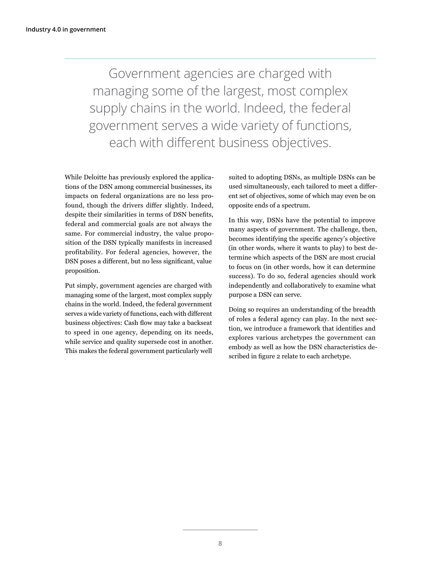Government agencies are charged with managing some of the largest, most complex supply chains in the world. Indeed, the federal government serves a wide variety of functions, each with different business objectives.

While Deloitte has previously explored the applications of the DSN among commercial businesses, its impacts on federal organizations are no less profound, though the drivers differ slightly. Indeed, despite their similarities in terms of DSN benefits, federal and commercial goals are not always the same. For commercial industry, the value proposition of the DSN typically manifests in increased profitability. For federal agencies, however, the DSN poses a different, but no less significant, value proposition.

Put simply, government agencies are charged with managing some of the largest, most complex supply chains in the world. Indeed, the federal government serves a wide variety of functions, each with different business objectives: Cash flow may take a backseat to speed in one agency, depending on its needs, while service and quality supersede cost in another. This makes the federal government particularly well

suited to adopting DSNs, as multiple DSNs can be used simultaneously, each tailored to meet a different set of objectives, some of which may even be on opposite ends of a spectrum.

In this way, DSNs have the potential to improve many aspects of government. The challenge, then, becomes identifying the specific agency's objective (in other words, where it wants to play) to best determine which aspects of the DSN are most crucial to focus on (in other words, how it can determine success). To do so, federal agencies should work independently and collaboratively to examine what purpose a DSN can serve.

Doing so requires an understanding of the breadth of roles a federal agency can play. In the next section, we introduce a framework that identifies and explores various archetypes the government can embody as well as how the DSN characteristics described in figure 2 relate to each archetype.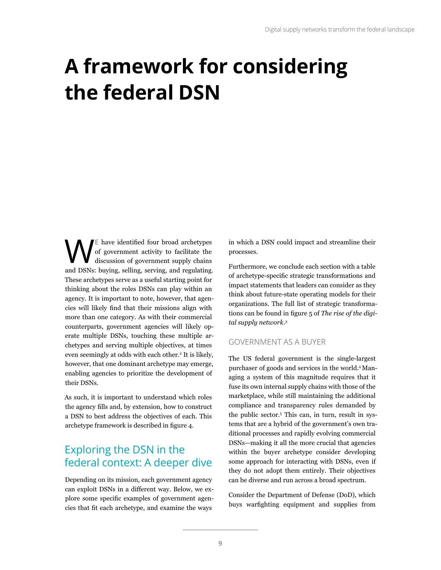## **A framework for considering the federal DSN**

 $\bigvee$ <sup>E</sup> have identified four broad archetypes<br>of government activity to facilitate the<br>discussion of government supply chains of government activity to facilitate the discussion of government supply chains and DSNs: buying, selling, serving, and regulating. These archetypes serve as a useful starting point for thinking about the roles DSNs can play within an agency. It is important to note, however, that agencies will likely find that their missions align with more than one category. As with their commercial counterparts, government agencies will likely operate multiple DSNs, touching these multiple archetypes and serving multiple objectives, at times even seemingly at odds with each other.<sup>2</sup> It is likely, however, that one dominant archetype may emerge, enabling agencies to prioritize the development of their DSNs.

As such, it is important to understand which roles the agency fills and, by extension, how to construct a DSN to best address the objectives of each. This archetype framework is described in figure 4.

### Exploring the DSN in the federal context: A deeper dive

Depending on its mission, each government agency can exploit DSNs in a different way. Below, we explore some specific examples of government agencies that fit each archetype, and examine the ways

in which a DSN could impact and streamline their processes.

Furthermore, we conclude each section with a table of archetype-specific strategic transformations and impact statements that leaders can consider as they think about future-state operating models for their organizations. The full list of strategic transformations can be found in figure 5 of *The rise of the digital supply network*. 3

### GOVERNMENT AS A BUYER

The US federal government is the single-largest purchaser of goods and services in the world.4 Managing a system of this magnitude requires that it fuse its own internal supply chains with those of the marketplace, while still maintaining the additional compliance and transparency rules demanded by the public sector.<sup>5</sup> This can, in turn, result in systems that are a hybrid of the government's own traditional processes and rapidly evolving commercial DSNs—making it all the more crucial that agencies within the buyer archetype consider developing some approach for interacting with DSNs, even if they do not adopt them entirely. Their objectives can be diverse and run across a broad spectrum.

Consider the Department of Defense (DoD), which buys warfighting equipment and supplies from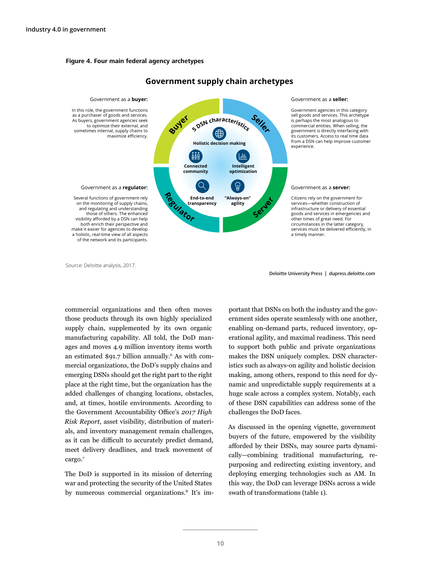### <span id="page-11-0"></span>**Figure 4. Four main federal agency archetypes**



### **Government supply chain archetypes**

Source: Deloitte analysis, 2017.

Deloitte University Press | dupress.deloitte.com

commercial organizations and then often moves those products through its own highly specialized supply chain, supplemented by its own organic manufacturing capability. All told, the DoD manages and moves 4.9 million inventory items worth an estimated \$91.7 billion annually.6 As with commercial organizations, the DoD's supply chains and emerging DSNs should get the right part to the right place at the right time, but the organization has the added challenges of changing locations, obstacles, and, at times, hostile environments. According to the Government Accountability Office's *2017 High Risk Report*, asset visibility, distribution of materials, and inventory management remain challenges, as it can be difficult to accurately predict demand, meet delivery deadlines, and track movement of cargo.7

The DoD is supported in its mission of deterring war and protecting the security of the United States by numerous commercial organizations.8 It's im-

portant that DSNs on both the industry and the government sides operate seamlessly with one another, enabling on-demand parts, reduced inventory, operational agility, and maximal readiness. This need to support both public and private organizations makes the DSN uniquely complex. DSN characteristics such as always-on agility and holistic decision making, among others, respond to this need for dynamic and unpredictable supply requirements at a huge scale across a complex system. Notably, each of these DSN capabilities can address some of the challenges the DoD faces.

As discussed in the opening vignette, government buyers of the future, empowered by the visibility afforded by their DSNs, may source parts dynamically—combining traditional manufacturing, repurposing and redirecting existing inventory, and deploying emerging technologies such as AM. In this way, the DoD can leverage DSNs across a wide swath of transformations (table 1).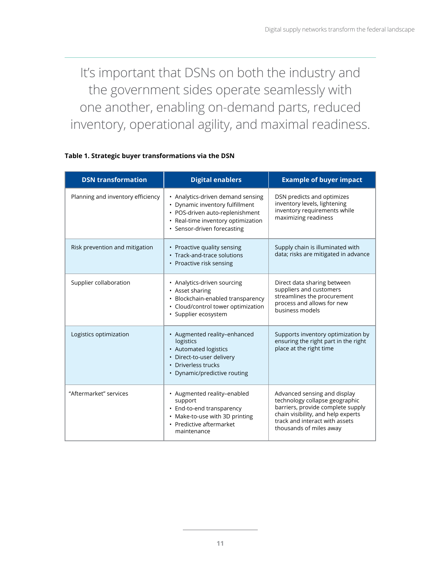It's important that DSNs on both the industry and the government sides operate seamlessly with one another, enabling on-demand parts, reduced inventory, operational agility, and maximal readiness.

### **Table 1. Strategic buyer transformations via the DSN**

| <b>DSN</b> transformation         | <b>Digital enablers</b>                                                                                                                                                      | <b>Example of buyer impact</b>                                                                                                                                                                         |
|-----------------------------------|------------------------------------------------------------------------------------------------------------------------------------------------------------------------------|--------------------------------------------------------------------------------------------------------------------------------------------------------------------------------------------------------|
| Planning and inventory efficiency | • Analytics-driven demand sensing<br>• Dynamic inventory fulfillment<br>• POS-driven auto-replenishment<br>• Real-time inventory optimization<br>• Sensor-driven forecasting | DSN predicts and optimizes<br>inventory levels, lightening<br>inventory requirements while<br>maximizing readiness                                                                                     |
| Risk prevention and mitigation    | • Proactive quality sensing<br>• Track-and-trace solutions<br>• Proactive risk sensing                                                                                       | Supply chain is illuminated with<br>data; risks are mitigated in advance                                                                                                                               |
| Supplier collaboration            | • Analytics-driven sourcing<br>• Asset sharing<br>· Blockchain-enabled transparency<br>• Cloud/control tower optimization<br>· Supplier ecosystem                            | Direct data sharing between<br>suppliers and customers<br>streamlines the procurement<br>process and allows for new<br>business models                                                                 |
| Logistics optimization            | • Augmented reality-enhanced<br>logistics<br>• Automated logistics<br>· Direct-to-user delivery<br>Driverless trucks<br>$\bullet$<br>• Dynamic/predictive routing            | Supports inventory optimization by<br>ensuring the right part in the right<br>place at the right time                                                                                                  |
| "Aftermarket" services            | • Augmented reality-enabled<br>support<br>• End-to-end transparency<br>• Make-to-use with 3D printing<br>• Predictive aftermarket<br>maintenance                             | Advanced sensing and display<br>technology collapse geographic<br>barriers, provide complete supply<br>chain visibility, and help experts<br>track and interact with assets<br>thousands of miles away |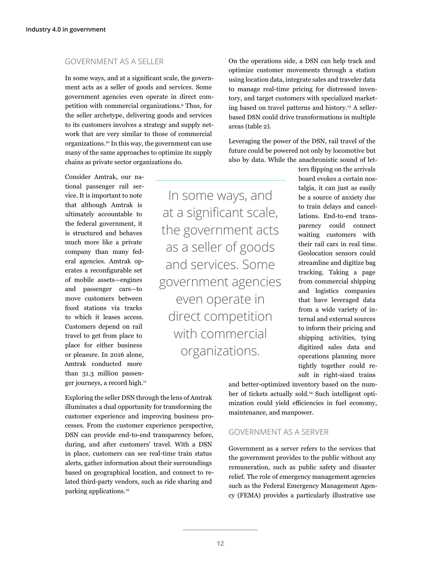### GOVERNMENT AS A SELLER

In some ways, and at a significant scale, the government acts as a seller of goods and services. Some government agencies even operate in direct competition with commercial organizations.9 Thus, for the seller archetype, delivering goods and services to its customers involves a strategy and supply network that are very similar to those of commercial organizations.10 In this way, the government can use many of the same approaches to optimize its supply chains as private sector organizations do.

Consider Amtrak, our national passenger rail service. It is important to note that although Amtrak is ultimately accountable to the federal government, it is structured and behaves much more like a private company than many federal agencies. Amtrak operates a reconfigurable set of mobile assets—engines and passenger cars—to move customers between fixed stations via tracks to which it leases access. Customers depend on rail travel to get from place to place for either business or pleasure. In 2016 alone, Amtrak conducted more than 31.3 million passenger journeys, a record high.<sup>11</sup>

parking applications.12

In some ways, and at a significant scale, the government acts as a seller of goods and services. Some government agencies even operate in direct competition with commercial organizations.

On the operations side, a DSN can help track and optimize customer movements through a station using location data, integrate sales and traveler data to manage real-time pricing for distressed inventory, and target customers with specialized marketing based on travel patterns and history.<sup>13</sup> A sellerbased DSN could drive transformations in multiple areas (table 2).

Leveraging the power of the DSN, rail travel of the future could be powered not only by locomotive but also by data. While the anachronistic sound of let-

> ters flipping on the arrivals board evokes a certain nostalgia, it can just as easily be a source of anxiety due to train delays and cancellations. End-to-end transparency could connect waiting customers with their rail cars in real time. Geolocation sensors could streamline and digitize bag tracking. Taking a page from commercial shipping and logistics companies that have leveraged data from a wide variety of internal and external sources to inform their pricing and shipping activities, tying digitized sales data and operations planning more tightly together could result in right-sized trains

Exploring the seller DSN through the lens of Amtrak illuminates a dual opportunity for transforming the customer experience and improving business processes. From the customer experience perspective, DSN can provide end-to-end transparency before, during, and after customers' travel. With a DSN in place, customers can see real-time train status alerts, gather information about their surroundings based on geographical location, and connect to related third-party vendors, such as ride sharing and

and better-optimized inventory based on the number of tickets actually sold.14 Such intelligent optimization could yield efficiencies in fuel economy, maintenance, and manpower.

### GOVERNMENT AS A SERVER

Government as a server refers to the services that the government provides to the public without any remuneration, such as public safety and disaster relief. The role of emergency management agencies such as the Federal Emergency Management Agency (FEMA) provides a particularly illustrative use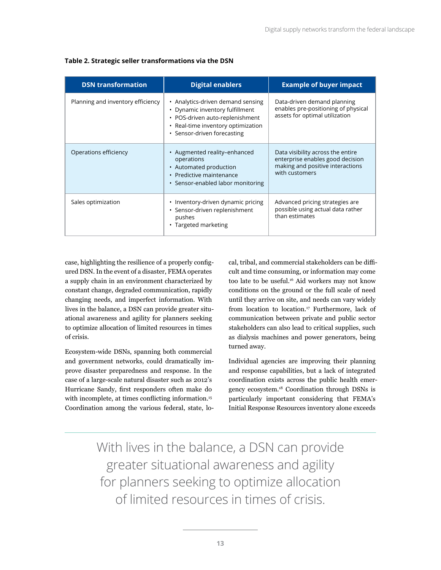| <b>DSN</b> transformation         | <b>Digital enablers</b>                                                                                                                                                      | <b>Example of buyer impact</b>                                                                                              |
|-----------------------------------|------------------------------------------------------------------------------------------------------------------------------------------------------------------------------|-----------------------------------------------------------------------------------------------------------------------------|
| Planning and inventory efficiency | • Analytics-driven demand sensing<br>• Dynamic inventory fulfillment<br>• POS-driven auto-replenishment<br>• Real-time inventory optimization<br>• Sensor-driven forecasting | Data-driven demand planning<br>enables pre-positioning of physical<br>assets for optimal utilization                        |
| Operations efficiency             | • Augmented reality-enhanced<br>operations<br>• Automated production<br>• Predictive maintenance<br>• Sensor-enabled labor monitoring                                        | Data visibility across the entire<br>enterprise enables good decision<br>making and positive interactions<br>with customers |
| Sales optimization                | • Inventory-driven dynamic pricing<br>· Sensor-driven replenishment<br>pushes<br>• Targeted marketing                                                                        | Advanced pricing strategies are<br>possible using actual data rather<br>than estimates                                      |

### **Table 2. Strategic seller transformations via the DSN**

case, highlighting the resilience of a properly configured DSN. In the event of a disaster, FEMA operates a supply chain in an environment characterized by constant change, degraded communication, rapidly changing needs, and imperfect information. With lives in the balance, a DSN can provide greater situational awareness and agility for planners seeking to optimize allocation of limited resources in times of crisis.

Ecosystem-wide DSNs, spanning both commercial and government networks, could dramatically improve disaster preparedness and response. In the case of a large-scale natural disaster such as 2012's Hurricane Sandy, first responders often make do with incomplete, at times conflicting information.<sup>15</sup> Coordination among the various federal, state, local, tribal, and commercial stakeholders can be difficult and time consuming, or information may come too late to be useful.<sup>16</sup> Aid workers may not know conditions on the ground or the full scale of need until they arrive on site, and needs can vary widely from location to location.<sup>17</sup> Furthermore, lack of communication between private and public sector stakeholders can also lead to critical supplies, such as dialysis machines and power generators, being turned away.

Individual agencies are improving their planning and response capabilities, but a lack of integrated coordination exists across the public health emergency ecosystem.18 Coordination through DSNs is particularly important considering that FEMA's Initial Response Resources inventory alone exceeds

With lives in the balance, a DSN can provide greater situational awareness and agility for planners seeking to optimize allocation of limited resources in times of crisis.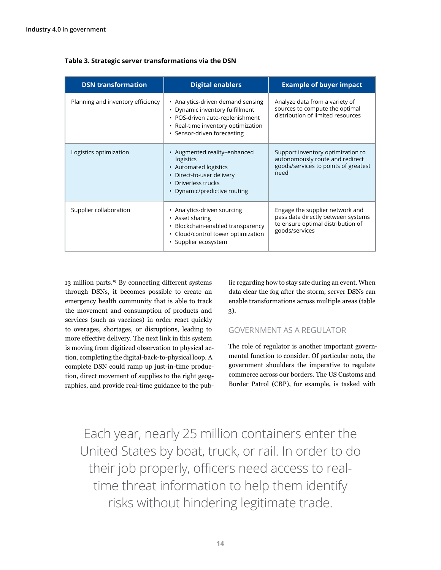| <b>DSN</b> transformation         | <b>Digital enablers</b>                                                                                                                                                         | <b>Example of buyer impact</b>                                                                                               |
|-----------------------------------|---------------------------------------------------------------------------------------------------------------------------------------------------------------------------------|------------------------------------------------------------------------------------------------------------------------------|
| Planning and inventory efficiency | Analytics-driven demand sensing<br>٠<br>• Dynamic inventory fulfillment<br>• POS-driven auto-replenishment<br>• Real-time inventory optimization<br>• Sensor-driven forecasting | Analyze data from a variety of<br>sources to compute the optimal<br>distribution of limited resources                        |
| Logistics optimization            | • Augmented reality-enhanced<br>logistics<br>• Automated logistics<br>Direct-to-user delivery<br>٠<br>Driverless trucks<br>$\bullet$<br>Dynamic/predictive routing<br>$\bullet$ | Support inventory optimization to<br>autonomously route and redirect<br>goods/services to points of greatest<br>need         |
| Supplier collaboration            | • Analytics-driven sourcing<br>• Asset sharing<br>Blockchain-enabled transparency<br>٠<br>Cloud/control tower optimization<br>٠<br>· Supplier ecosystem                         | Engage the supplier network and<br>pass data directly between systems<br>to ensure optimal distribution of<br>goods/services |

### **Table 3. Strategic server transformations via the DSN**

13 million parts.19 By connecting different systems through DSNs, it becomes possible to create an emergency health community that is able to track the movement and consumption of products and services (such as vaccines) in order react quickly to overages, shortages, or disruptions, leading to more effective delivery. The next link in this system is moving from digitized observation to physical action, completing the digital-back-to-physical loop. A complete DSN could ramp up just-in-time production, direct movement of supplies to the right geographies, and provide real-time guidance to the pub-

lic regarding how to stay safe during an event. When data clear the fog after the storm, server DSNs can enable transformations across multiple areas (table 3).

### GOVERNMENT AS A REGULATOR

The role of regulator is another important governmental function to consider. Of particular note, the government shoulders the imperative to regulate commerce across our borders. The US Customs and Border Patrol (CBP), for example, is tasked with

Each year, nearly 25 million containers enter the United States by boat, truck, or rail. In order to do their job properly, officers need access to realtime threat information to help them identify risks without hindering legitimate trade.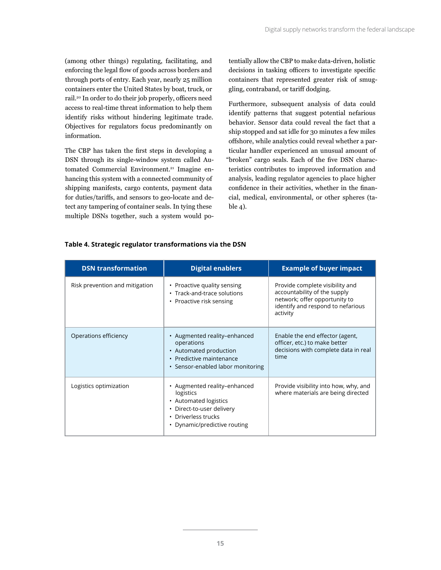(among other things) regulating, facilitating, and enforcing the legal flow of goods across borders and through ports of entry. Each year, nearly 25 million containers enter the United States by boat, truck, or rail.20 In order to do their job properly, officers need access to real-time threat information to help them identify risks without hindering legitimate trade. Objectives for regulators focus predominantly on information.

The CBP has taken the first steps in developing a DSN through its single-window system called Automated Commercial Environment.<sup>21</sup> Imagine enhancing this system with a connected community of shipping manifests, cargo contents, payment data for duties/tariffs, and sensors to geo-locate and detect any tampering of container seals. In tying these multiple DSNs together, such a system would potentially allow the CBP to make data-driven, holistic decisions in tasking officers to investigate specific containers that represented greater risk of smuggling, contraband, or tariff dodging.

Furthermore, subsequent analysis of data could identify patterns that suggest potential nefarious behavior. Sensor data could reveal the fact that a ship stopped and sat idle for 30 minutes a few miles offshore, while analytics could reveal whether a particular handler experienced an unusual amount of "broken" cargo seals. Each of the five DSN characteristics contributes to improved information and analysis, leading regulator agencies to place higher confidence in their activities, whether in the financial, medical, environmental, or other spheres (table 4).

| <b>DSN</b> transformation      | <b>Digital enablers</b>                                                                                                                                                         | <b>Example of buyer impact</b>                                                                                                                    |
|--------------------------------|---------------------------------------------------------------------------------------------------------------------------------------------------------------------------------|---------------------------------------------------------------------------------------------------------------------------------------------------|
| Risk prevention and mitigation | • Proactive quality sensing<br>• Track-and-trace solutions<br>• Proactive risk sensing                                                                                          | Provide complete visibility and<br>accountability of the supply<br>network; offer opportunity to<br>identify and respond to nefarious<br>activity |
| Operations efficiency          | • Augmented reality-enhanced<br>operations<br>• Automated production<br>• Predictive maintenance<br>• Sensor-enabled labor monitoring                                           | Enable the end effector (agent,<br>officer, etc.) to make better<br>decisions with complete data in real<br>time                                  |
| Logistics optimization         | • Augmented reality-enhanced<br>logistics<br>• Automated logistics<br>Direct-to-user delivery<br>٠<br>Driverless trucks<br>$\bullet$<br>Dynamic/predictive routing<br>$\bullet$ | Provide visibility into how, why, and<br>where materials are being directed                                                                       |

### **Table 4. Strategic regulator transformations via the DSN**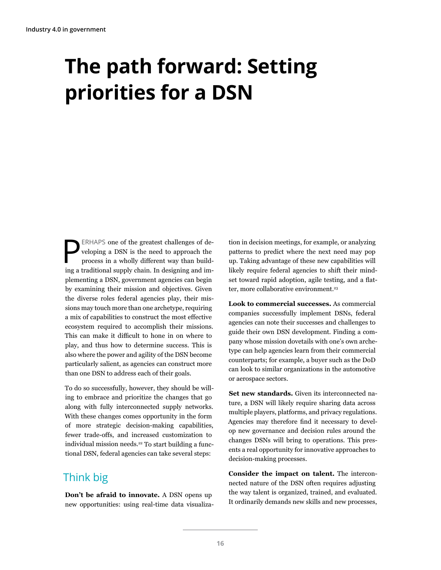## **The path forward: Setting priorities for a DSN**

**PERHAPS one of the greatest challenges of developing a DSN** is the need to approach the process in a wholly different way than buildveloping a DSN is the need to approach the process in a wholly different way than building a traditional supply chain. In designing and implementing a DSN, government agencies can begin by examining their mission and objectives. Given the diverse roles federal agencies play, their missions may touch more than one archetype, requiring a mix of capabilities to construct the most effective ecosystem required to accomplish their missions. This can make it difficult to hone in on where to play, and thus how to determine success. This is also where the power and agility of the DSN become particularly salient, as agencies can construct more than one DSN to address each of their goals.

To do so successfully, however, they should be willing to embrace and prioritize the changes that go along with fully interconnected supply networks. With these changes comes opportunity in the form of more strategic decision-making capabilities, fewer trade-offs, and increased customization to individual mission needs.22 To start building a functional DSN, federal agencies can take several steps:

### Think big

**Don't be afraid to innovate.** A DSN opens up new opportunities: using real-time data visualization in decision meetings, for example, or analyzing patterns to predict where the next need may pop up. Taking advantage of these new capabilities will likely require federal agencies to shift their mindset toward rapid adoption, agile testing, and a flatter, more collaborative environment.<sup>23</sup>

**Look to commercial successes.** As commercial companies successfully implement DSNs, federal agencies can note their successes and challenges to guide their own DSN development. Finding a company whose mission dovetails with one's own archetype can help agencies learn from their commercial counterparts; for example, a buyer such as the DoD can look to similar organizations in the automotive or aerospace sectors.

**Set new standards.** Given its interconnected nature, a DSN will likely require sharing data across multiple players, platforms, and privacy regulations. Agencies may therefore find it necessary to develop new governance and decision rules around the changes DSNs will bring to operations. This presents a real opportunity for innovative approaches to decision-making processes.

**Consider the impact on talent.** The interconnected nature of the DSN often requires adjusting the way talent is organized, trained, and evaluated. It ordinarily demands new skills and new processes,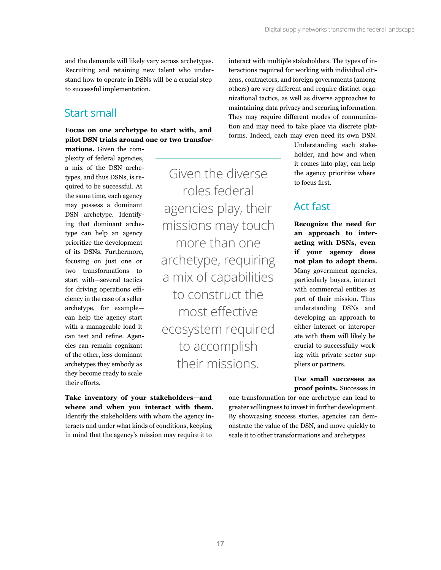and the demands will likely vary across archetypes. Recruiting and retaining new talent who understand how to operate in DSNs will be a crucial step to successful implementation.

### Start small

**Focus on one archetype to start with, and pilot DSN trials around one or two transfor-**

**mations.** Given the complexity of federal agencies, a mix of the DSN archetypes, and thus DSNs, is required to be successful. At the same time, each agency may possess a dominant DSN archetype. Identifying that dominant archetype can help an agency prioritize the development of its DSNs. Furthermore, focusing on just one or two transformations to start with—several tactics for driving operations efficiency in the case of a seller archetype, for example can help the agency start with a manageable load it can test and refine. Agencies can remain cognizant of the other, less dominant archetypes they embody as they become ready to scale their efforts.

Given the diverse roles federal agencies play, their missions may touch more than one archetype, requiring a mix of capabilities to construct the most effective ecosystem required to accomplish their missions.

interact with multiple stakeholders. The types of interactions required for working with individual citizens, contractors, and foreign governments (among others) are very different and require distinct organizational tactics, as well as diverse approaches to maintaining data privacy and securing information. They may require different modes of communication and may need to take place via discrete platforms. Indeed, each may even need its own DSN.

> Understanding each stakeholder, and how and when it comes into play, can help the agency prioritize where to focus first.

### Act fast

**Recognize the need for an approach to interacting with DSNs, even if your agency does not plan to adopt them.** Many government agencies, particularly buyers, interact with commercial entities as part of their mission. Thus understanding DSNs and developing an approach to either interact or interoperate with them will likely be crucial to successfully working with private sector suppliers or partners.

**Use small successes as proof points.** Successes in

**Take inventory of your stakeholders—and where and when you interact with them.** Identify the stakeholders with whom the agency interacts and under what kinds of conditions, keeping in mind that the agency's mission may require it to

one transformation for one archetype can lead to greater willingness to invest in further development. By showcasing success stories, agencies can demonstrate the value of the DSN, and move quickly to scale it to other transformations and archetypes.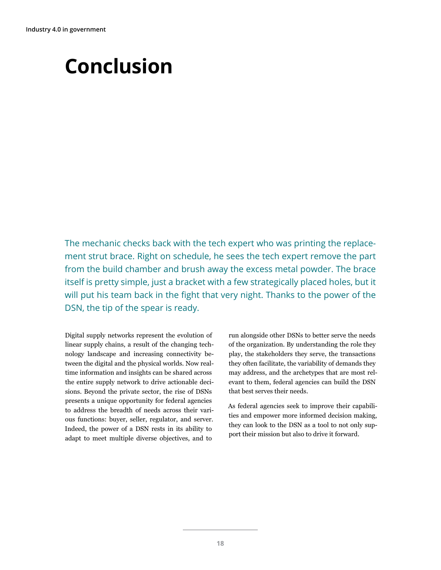## **Conclusion**

The mechanic checks back with the tech expert who was printing the replacement strut brace. Right on schedule, he sees the tech expert remove the part from the build chamber and brush away the excess metal powder. The brace itself is pretty simple, just a bracket with a few strategically placed holes, but it will put his team back in the fight that very night. Thanks to the power of the DSN, the tip of the spear is ready.

Digital supply networks represent the evolution of linear supply chains, a result of the changing technology landscape and increasing connectivity between the digital and the physical worlds. Now realtime information and insights can be shared across the entire supply network to drive actionable decisions. Beyond the private sector, the rise of DSNs presents a unique opportunity for federal agencies to address the breadth of needs across their various functions: buyer, seller, regulator, and server. Indeed, the power of a DSN rests in its ability to adapt to meet multiple diverse objectives, and to

run alongside other DSNs to better serve the needs of the organization. By understanding the role they play, the stakeholders they serve, the transactions they often facilitate, the variability of demands they may address, and the archetypes that are most relevant to them, federal agencies can build the DSN that best serves their needs.

As federal agencies seek to improve their capabilities and empower more informed decision making, they can look to the DSN as a tool to not only support their mission but also to drive it forward.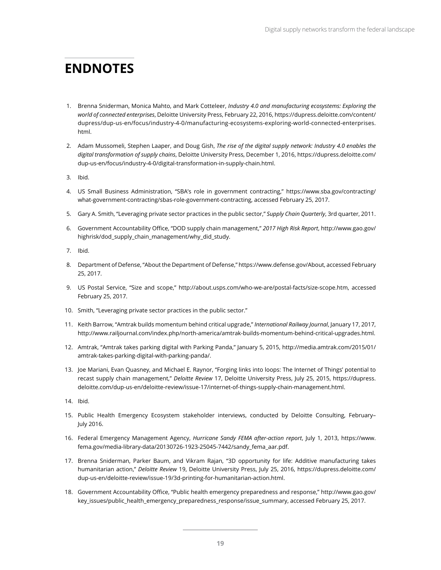## <span id="page-20-0"></span>**ENDNOTES**

- 1. Brenna Sniderman, Monica Mahto, and Mark Cotteleer, *Industry 4.0 and manufacturing ecosystems: Exploring the world of connected enterprises*, Deloitte University Press, February 22, 2016, https://dupress.deloitte.com/content/ dupress/dup-us-en/focus/industry-4-0/manufacturing-ecosystems-exploring-world-connected-enterprises. html.
- 2. Adam Mussomeli, Stephen Laaper, and Doug Gish, *The rise of the digital supply network: Industry 4.0 enables the digital transformation of supply chains*, Deloitte University Press, December 1, 2016, https://dupress.deloitte.com/ dup-us-en/focus/industry-4-0/digital-transformation-in-supply-chain.html.
- 3. Ibid.
- 4. US Small Business Administration, "SBA's role in government contracting," https://www.sba.gov/contracting/ what-government-contracting/sbas-role-government-contracting, accessed February 25, 2017.
- 5. Gary A. Smith, "Leveraging private sector practices in the public sector," *Supply Chain Quarterly*, 3rd quarter, 2011.
- 6. Government Accountability Office, "DOD supply chain management," *2017 High Risk Report*, http://www.gao.gov/ highrisk/dod\_supply\_chain\_management/why\_did\_study.
- 7. Ibid.
- 8. Department of Defense, "About the Department of Defense," https://www.defense.gov/About, accessed February 25, 2017.
- 9. US Postal Service, "Size and scope," http://about.usps.com/who-we-are/postal-facts/size-scope.htm, accessed February 25, 2017.
- 10. Smith, "Leveraging private sector practices in the public sector."
- 11. Keith Barrow, "Amtrak builds momentum behind critical upgrade," *International Railway Journal*, January 17, 2017, http://www.railjournal.com/index.php/north-america/amtrak-builds-momentum-behind-critical-upgrades.html.
- 12. Amtrak, "Amtrak takes parking digital with Parking Panda," January 5, 2015, http://media.amtrak.com/2015/01/ amtrak-takes-parking-digital-with-parking-panda/.
- 13. Joe Mariani, Evan Quasney, and Michael E. Raynor, "Forging links into loops: The Internet of Things' potential to recast supply chain management," *Deloitte Review* 17, Deloitte University Press, July 25, 2015, https://dupress. deloitte.com/dup-us-en/deloitte-review/issue-17/internet-of-things-supply-chain-management.html.
- 14. Ibid.
- 15. Public Health Emergency Ecosystem stakeholder interviews, conducted by Deloitte Consulting, February– July 2016.
- 16. Federal Emergency Management Agency, *Hurricane Sandy FEMA after-action report*, July 1, 2013, https://www. fema.gov/media-library-data/20130726-1923-25045-7442/sandy\_fema\_aar.pdf.
- 17. Brenna Sniderman, Parker Baum, and Vikram Rajan, "3D opportunity for life: Additive manufacturing takes humanitarian action," *Deloitte Review* 19, Deloitte University Press, July 25, 2016, https://dupress.deloitte.com/ dup-us-en/deloitte-review/issue-19/3d-printing-for-humanitarian-action.html.
- 18. Government Accountability Office, "Public health emergency preparedness and response," http://www.gao.gov/ key\_issues/public\_health\_emergency\_preparedness\_response/issue\_summary, accessed February 25, 2017.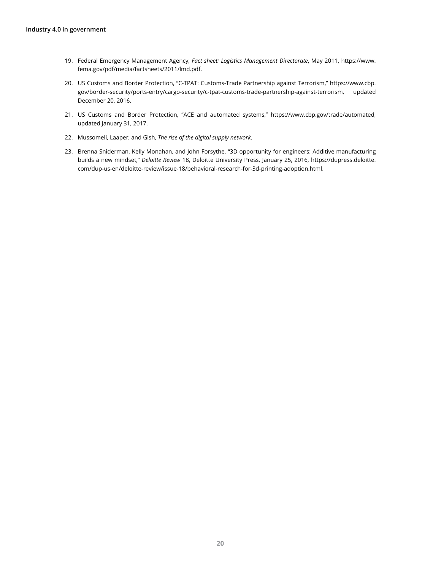- 19. Federal Emergency Management Agency, *Fact sheet: Logistics Management Directorate*, May 2011, https://www. fema.gov/pdf/media/factsheets/2011/lmd.pdf.
- 20. US Customs and Border Protection, "C-TPAT: Customs-Trade Partnership against Terrorism," https://www.cbp. gov/border-security/ports-entry/cargo-security/c-tpat-customs-trade-partnership-against-terrorism, updated December 20, 2016.
- 21. US Customs and Border Protection, "ACE and automated systems," https://www.cbp.gov/trade/automated, updated January 31, 2017.
- 22. Mussomeli, Laaper, and Gish, *The rise of the digital supply network*.
- 23. Brenna Sniderman, Kelly Monahan, and John Forsythe, "3D opportunity for engineers: Additive manufacturing builds a new mindset," *Deloitte Review* 18, Deloitte University Press, January 25, 2016, https://dupress.deloitte. com/dup-us-en/deloitte-review/issue-18/behavioral-research-for-3d-printing-adoption.html.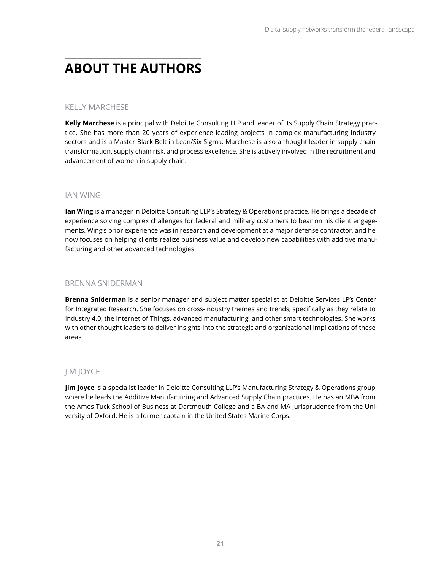## **ABOUT THE AUTHORS**

### KELLY MARCHESE

**Kelly Marchese** is a principal with Deloitte Consulting LLP and leader of its Supply Chain Strategy practice. She has more than 20 years of experience leading projects in complex manufacturing industry sectors and is a Master Black Belt in Lean/Six Sigma. Marchese is also a thought leader in supply chain transformation, supply chain risk, and process excellence. She is actively involved in the recruitment and advancement of women in supply chain.

### IAN WING

**Ian Wing** is a manager in Deloitte Consulting LLP's Strategy & Operations practice. He brings a decade of experience solving complex challenges for federal and military customers to bear on his client engagements. Wing's prior experience was in research and development at a major defense contractor, and he now focuses on helping clients realize business value and develop new capabilities with additive manufacturing and other advanced technologies.

### BRENNA SNIDERMAN

**Brenna Sniderman** is a senior manager and subject matter specialist at Deloitte Services LP's Center for Integrated Research. She focuses on cross-industry themes and trends, specifically as they relate to Industry 4.0, the Internet of Things, advanced manufacturing, and other smart technologies. She works with other thought leaders to deliver insights into the strategic and organizational implications of these areas.

### JIM JOYCE

**Jim Joyce** is a specialist leader in Deloitte Consulting LLP's Manufacturing Strategy & Operations group, where he leads the Additive Manufacturing and Advanced Supply Chain practices. He has an MBA from the Amos Tuck School of Business at Dartmouth College and a BA and MA Jurisprudence from the University of Oxford. He is a former captain in the United States Marine Corps.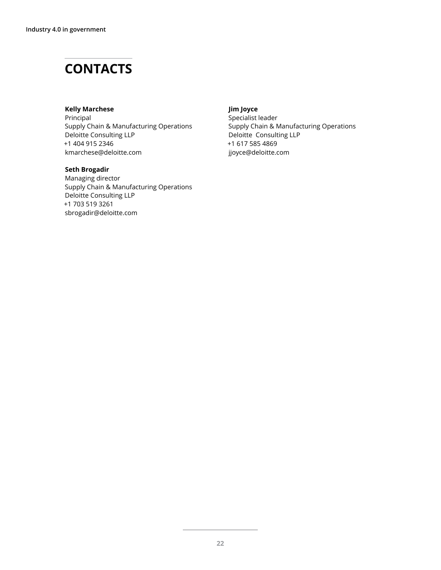## **CONTACTS**

### **Kelly Marchese**

Principal Supply Chain & Manufacturing Operations Deloitte Consulting LLP +1 404 915 2346 kmarchese@deloitte.com

### **Seth Brogadir**

Managing director Supply Chain & Manufacturing Operations Deloitte Consulting LLP +1 703 519 3261 sbrogadir@deloitte.com

### **Jim Joyce**

Specialist leader Supply Chain & Manufacturing Operations Deloitte Consulting LLP +1 617 585 4869 jjoyce@deloitte.com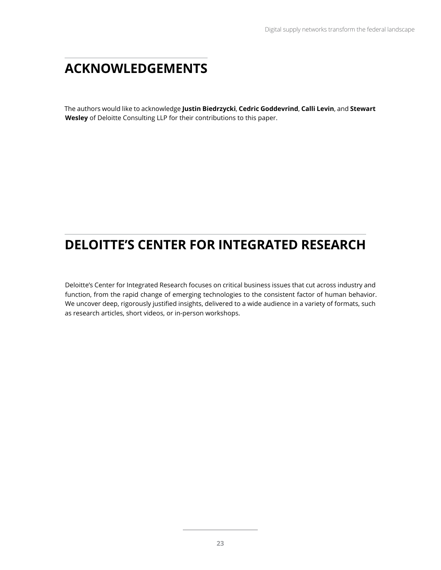## **ACKNOWLEDGEMENTS**

The authors would like to acknowledge **Justin Biedrzycki**, **Cedric Goddevrind**, **Calli Levin**, and **Stewart Wesley** of Deloitte Consulting LLP for their contributions to this paper.

## **DELOITTE'S CENTER FOR INTEGRATED RESEARCH**

Deloitte's Center for Integrated Research focuses on critical business issues that cut across industry and function, from the rapid change of emerging technologies to the consistent factor of human behavior. We uncover deep, rigorously justified insights, delivered to a wide audience in a variety of formats, such as research articles, short videos, or in-person workshops.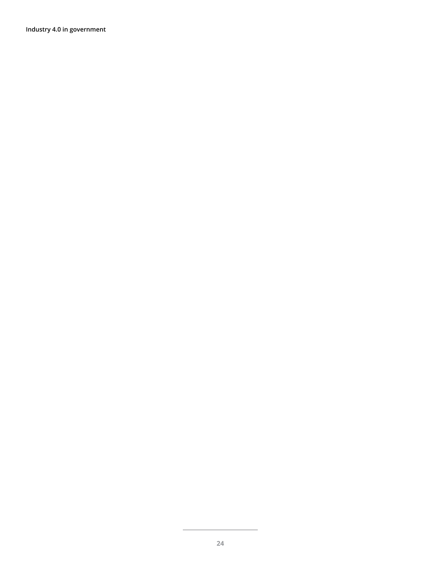**Industry 4.0 in government**

 $\overline{\phantom{a}}$